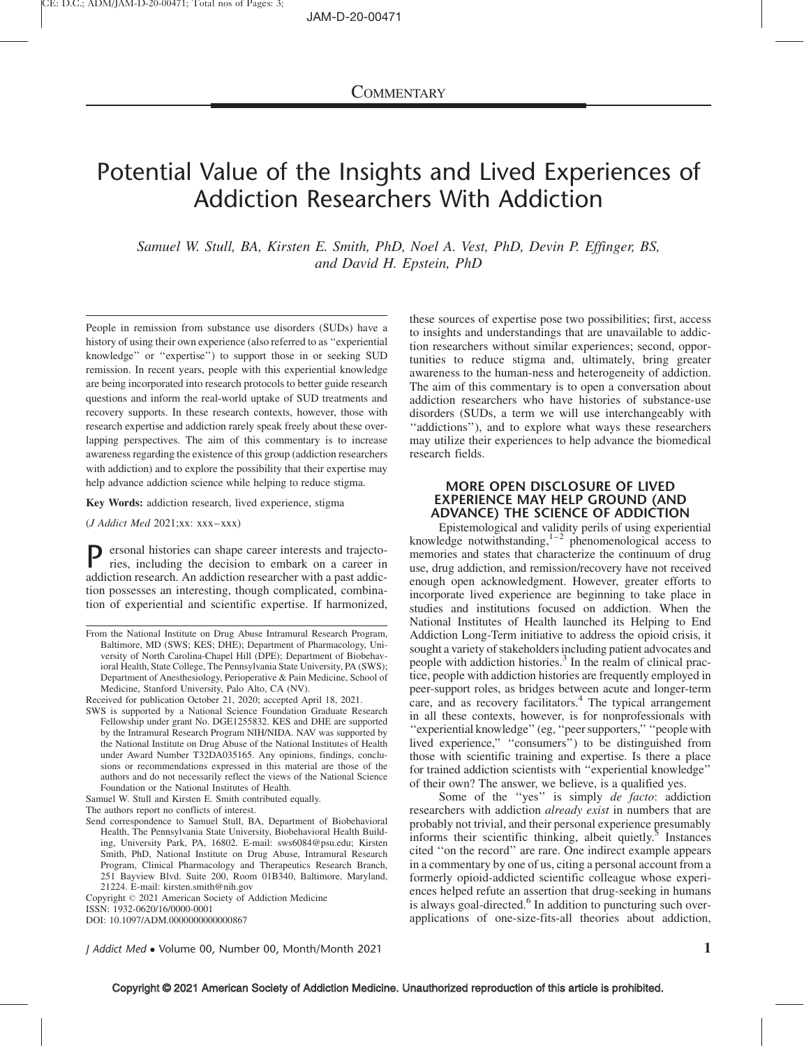# Potential Value of the Insights and Lived Experiences of Addiction Researchers With Addiction

Samuel W. Stull, BA, Kirsten E. Smith, PhD, Noel A. Vest, PhD, Devin P. Effinger, BS, and David H. Epstein, PhD

People in remission from substance use disorders (SUDs) have a history of using their own experience (also referred to as ''experiential knowledge'' or ''expertise'') to support those in or seeking SUD remission. In recent years, people with this experiential knowledge are being incorporated into research protocols to better guide research questions and inform the real-world uptake of SUD treatments and recovery supports. In these research contexts, however, those with research expertise and addiction rarely speak freely about these overlapping perspectives. The aim of this commentary is to increase awareness regarding the existence of this group (addiction researchers with addiction) and to explore the possibility that their expertise may help advance addiction science while helping to reduce stigma.

Key Words: addiction research, lived experience, stigma

(J Addict Med 2021;xx: xxx–xxx)

P ersonal histories can shape career interests and trajectories, including the decision to embark on a career in addiction research. An addiction researcher with a past addiction possesses an interesting, though complicated, combination of experiential and scientific expertise. If harmonized,

Received for publication October 21, 2020; accepted April 18, 2021.

SWS is supported by a National Science Foundation Graduate Research Fellowship under grant No. DGE1255832. KES and DHE are supported by the Intramural Research Program NIH/NIDA. NAV was supported by the National Institute on Drug Abuse of the National Institutes of Health under Award Number T32DA035165. Any opinions, findings, conclusions or recommendations expressed in this material are those of the authors and do not necessarily reflect the views of the National Science Foundation or the National Institutes of Health.

Samuel W. Stull and Kirsten E. Smith contributed equally.

The authors report no conflicts of interest.

Send correspondence to Samuel Stull, BA, Department of Biobehavioral Health, The Pennsylvania State University, Biobehavioral Health Building, University Park, PA, 16802. E-mail: [sws6084@psu.edu](mailto:sws6084@psu.edu); Kirsten Smith, PhD, National Institute on Drug Abuse, Intramural Research Program, Clinical Pharmacology and Therapeutics Research Branch, 251 Bayview Blvd. Suite 200, Room 01B340, Baltimore, Maryland, 21224. E-mail: [kirsten.smith@nih.gov](mailto:kirsten.smith@nih.gov)

these sources of expertise pose two possibilities; first, access to insights and understandings that are unavailable to addiction researchers without similar experiences; second, opportunities to reduce stigma and, ultimately, bring greater awareness to the human-ness and heterogeneity of addiction. The aim of this commentary is to open a conversation about addiction researchers who have histories of substance-use disorders (SUDs, a term we will use interchangeably with ''addictions''), and to explore what ways these researchers may utilize their experiences to help advance the biomedical research fields.

## MORE OPEN DISCLOSURE OF LIVED EXPERIENCE MAY HELP GROUND (AND ADVANCE) THE SCIENCE OF ADDICTION

Epistemological and validity perils of using experiential knowledge notwithstanding, $1-2$  phenomenological access to memories and states that characterize the continuum of drug use, drug addiction, and remission/recovery have not received enough open acknowledgment. However, greater efforts to incorporate lived experience are beginning to take place in studies and institutions focused on addiction. When the National Institutes of Health launched its Helping to End Addiction Long-Term initiative to address the opioid crisis, it sought a variety of stakeholders including patient advocates and people with addiction histories.<sup>3</sup> In the realm of clinical practice, people with addiction histories are frequently employed in peer-support roles, as bridges between acute and longer-term care, and as recovery facilitators.<sup>4</sup> The typical arrangement in all these contexts, however, is for nonprofessionals with ''experiential knowledge'' (eg, ''peer supporters,'' ''people with lived experience,'' ''consumers'') to be distinguished from those with scientific training and expertise. Is there a place for trained addiction scientists with ''experiential knowledge'' of their own? The answer, we believe, is a qualified yes.

Some of the "yes" is simply *de facto*: addiction researchers with addiction *already exist* in numbers that are probably not trivial, and their personal experience presumably informs their scientific thinking, albeit quietly. $5$  Instances cited ''on the record'' are rare. One indirect example appears in a commentary by one of us, citing a personal account from a formerly opioid-addicted scientific colleague whose experiences helped refute an assertion that drug-seeking in humans is always goal-directed.<sup>[6](#page-2-0)</sup> In addition to puncturing such overapplications of one-size-fits-all theories about addiction,

*J Addict Med* • Volume 00, Number 00, Month/Month 2021  $1$ 

From the National Institute on Drug Abuse Intramural Research Program, Baltimore, MD (SWS; KES; DHE); Department of Pharmacology, University of North Carolina-Chapel Hill (DPE); Department of Biobehavioral Health, State College, The Pennsylvania State University, PA (SWS); Department of Anesthesiology, Perioperative & Pain Medicine, School of Medicine, Stanford University, Palo Alto, CA (NV).

Copyright © 2021 American Society of Addiction Medicine ISSN: 1932-0620/16/0000-0001 DOI: 10.1097/ADM.0000000000000867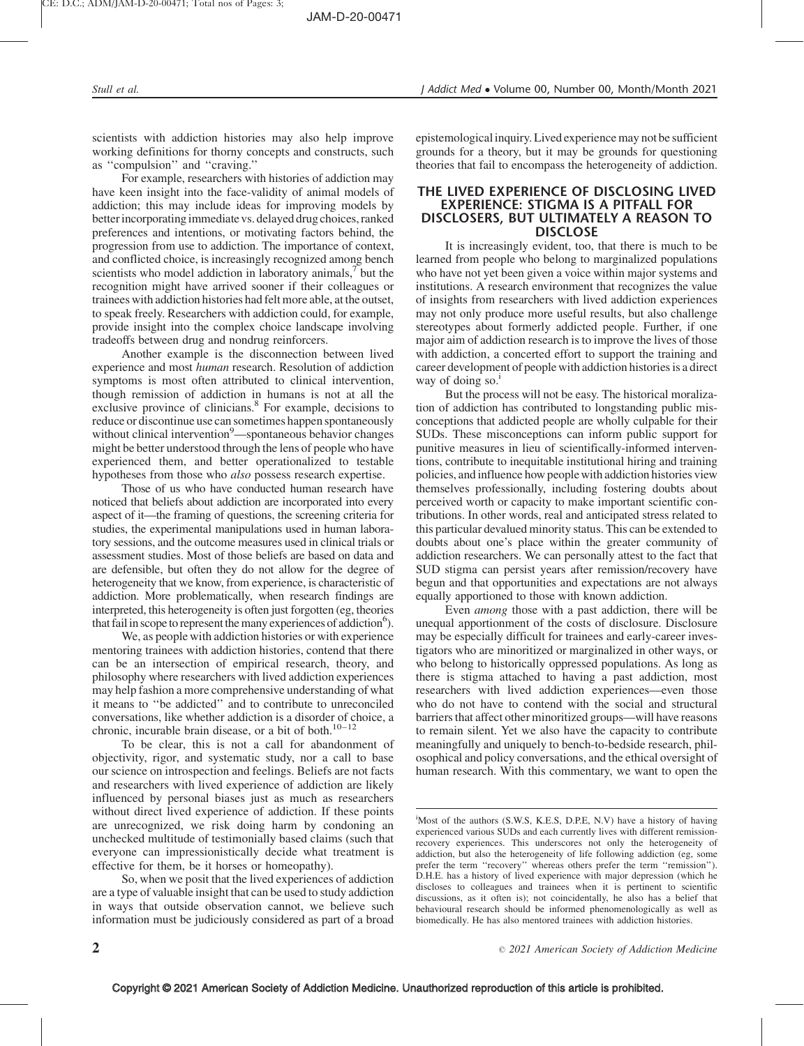scientists with addiction histories may also help improve working definitions for thorny concepts and constructs, such as ''compulsion'' and ''craving.''

For example, researchers with histories of addiction may have keen insight into the face-validity of animal models of addiction; this may include ideas for improving models by better incorporating immediate vs. delayed drug choices, ranked preferences and intentions, or motivating factors behind, the progression from use to addiction. The importance of context, and conflicted choice, is increasingly recognized among bench scientists who model addiction in laboratory animals,<sup>7</sup> but the recognition might have arrived sooner if their colleagues or trainees with addiction histories had felt more able, at the outset, to speak freely. Researchers with addiction could, for example, provide insight into the complex choice landscape involving tradeoffs between drug and nondrug reinforcers.

Another example is the disconnection between lived experience and most human research. Resolution of addiction symptoms is most often attributed to clinical intervention, though remission of addiction in humans is not at all the exclusive province of clinicians.<sup>[8](#page-2-0)</sup> For example, decisions to reduce or discontinue use can sometimes happen spontaneously without clinical intervention<sup>[9](#page-2-0)</sup>—spontaneous behavior changes might be better understood through the lens of people who have experienced them, and better operationalized to testable hypotheses from those who *also* possess research expertise.

Those of us who have conducted human research have noticed that beliefs about addiction are incorporated into every aspect of it—the framing of questions, the screening criteria for studies, the experimental manipulations used in human laboratory sessions, and the outcome measures used in clinical trials or assessment studies. Most of those beliefs are based on data and are defensible, but often they do not allow for the degree of heterogeneity that we know, from experience, is characteristic of addiction. More problematically, when research findings are interpreted, this heterogeneity is often just forgotten (eg, theories that fail in scope to represent the many experiences of addiction<sup>6</sup>).

We, as people with addiction histories or with experience mentoring trainees with addiction histories, contend that there can be an intersection of empirical research, theory, and philosophy where researchers with lived addiction experiences may help fashion a more comprehensive understanding of what it means to ''be addicted'' and to contribute to unreconciled conversations, like whether addiction is a disorder of choice, a chronic, incurable brain disease, or a bit of both. $10-12$ 

To be clear, this is not a call for abandonment of objectivity, rigor, and systematic study, nor a call to base our science on introspection and feelings. Beliefs are not facts and researchers with lived experience of addiction are likely influenced by personal biases just as much as researchers without direct lived experience of addiction. If these points are unrecognized, we risk doing harm by condoning an unchecked multitude of testimonially based claims (such that everyone can impressionistically decide what treatment is effective for them, be it horses or homeopathy).

So, when we posit that the lived experiences of addiction are a type of valuable insight that can be used to study addiction in ways that outside observation cannot, we believe such information must be judiciously considered as part of a broad epistemological inquiry. Lived experience may not be sufficient grounds for a theory, but it may be grounds for questioning theories that fail to encompass the heterogeneity of addiction.

### THE LIVED EXPERIENCE OF DISCLOSING LIVED EXPERIENCE: STIGMA IS A PITFALL FOR DISCLOSERS, BUT ULTIMATELY A REASON TO DISCLOSE

It is increasingly evident, too, that there is much to be learned from people who belong to marginalized populations who have not yet been given a voice within major systems and institutions. A research environment that recognizes the value of insights from researchers with lived addiction experiences may not only produce more useful results, but also challenge stereotypes about formerly addicted people. Further, if one major aim of addiction research is to improve the lives of those with addiction, a concerted effort to support the training and career development of people with addiction histories is a direct way of doing so. $<sup>1</sup>$ </sup>

But the process will not be easy. The historical moralization of addiction has contributed to longstanding public misconceptions that addicted people are wholly culpable for their SUDs. These misconceptions can inform public support for punitive measures in lieu of scientifically-informed interventions, contribute to inequitable institutional hiring and training policies, and influence how people with addiction histories view themselves professionally, including fostering doubts about perceived worth or capacity to make important scientific contributions. In other words, real and anticipated stress related to this particular devalued minority status. This can be extended to doubts about one's place within the greater community of addiction researchers. We can personally attest to the fact that SUD stigma can persist years after remission/recovery have begun and that opportunities and expectations are not always equally apportioned to those with known addiction.

Even among those with a past addiction, there will be unequal apportionment of the costs of disclosure. Disclosure may be especially difficult for trainees and early-career investigators who are minoritized or marginalized in other ways, or who belong to historically oppressed populations. As long as there is stigma attached to having a past addiction, most researchers with lived addiction experiences—even those who do not have to contend with the social and structural barriers that affect other minoritized groups—will have reasons to remain silent. Yet we also have the capacity to contribute meaningfully and uniquely to bench-to-bedside research, philosophical and policy conversations, and the ethical oversight of human research. With this commentary, we want to open the

i Most of the authors (S.W.S, K.E.S, D.P.E, N.V) have a history of having experienced various SUDs and each currently lives with different remissionrecovery experiences. This underscores not only the heterogeneity of addiction, but also the heterogeneity of life following addiction (eg, some prefer the term ''recovery'' whereas others prefer the term ''remission''). D.H.E. has a history of lived experience with major depression (which he discloses to colleagues and trainees when it is pertinent to scientific discussions, as it often is); not coincidentally, he also has a belief that behavioural research should be informed phenomenologically as well as biomedically. He has also mentored trainees with addiction histories.